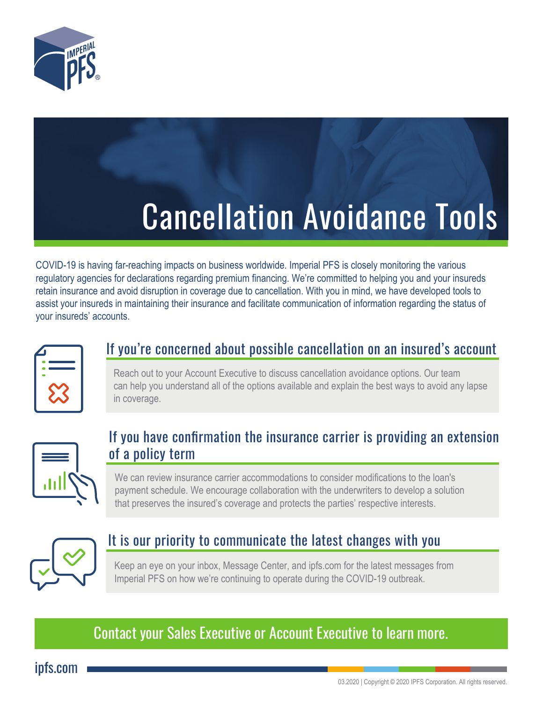

# Cancellation Avoidance Tools

COVID-19 is having far-reaching impacts on business worldwide. Imperial PFS is closely monitoring the various regulatory agencies for declarations regarding premium financing. We're committed to helping you and your insureds retain insurance and avoid disruption in coverage due to cancellation. With you in mind, we have developed tools to assist your insureds in maintaining their insurance and facilitate communication of information regarding the status of your insureds' accounts.

| <b>Service Service</b> |
|------------------------|
|                        |
|                        |

### If you're concerned about possible cancellation on an insured's account

Reach out to your Account Executive to discuss cancellation avoidance options. Our team can help you understand all of the options available and explain the best ways to avoid any lapse in coverage.



## If you have confirmation the insurance carrier is providing an extension of a policy term

We can review insurance carrier accommodations to consider modifications to the loan's payment schedule. We encourage collaboration with the underwriters to develop a solution that preserves the insured's coverage and protects the parties' respective interests.



# It is our priority to communicate the latest changes with you

Keep an eye on your inbox, Message Center, and ipfs.com for the latest messages from Imperial PFS on how we're continuing to operate during the COVID-19 outbreak.

# Contact your Sales Executive or Account Executive to learn more.

ipfs.com